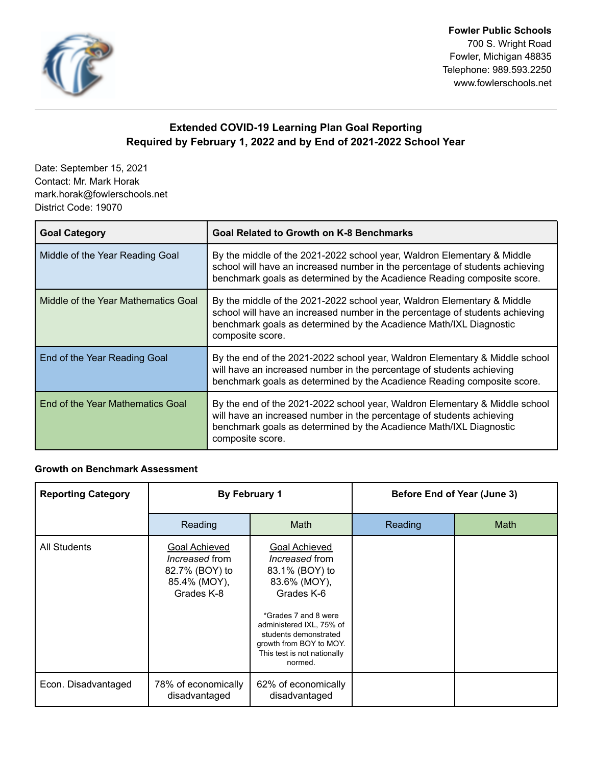

**Fowler Public Schools** 700 S. Wright Road Fowler, Michigan 48835 Telephone: 989.593.2250 www.fowlerschools.net

## **Extended COVID-19 Learning Plan Goal Reporting Required by February 1, 2022 and by End of 2021-2022 School Year**

Date: September 15, 2021 Contact: Mr. Mark Horak mark.horak@fowlerschools.net District Code: 19070

| <b>Goal Category</b>                | <b>Goal Related to Growth on K-8 Benchmarks</b>                                                                                                                                                                                                   |
|-------------------------------------|---------------------------------------------------------------------------------------------------------------------------------------------------------------------------------------------------------------------------------------------------|
| Middle of the Year Reading Goal     | By the middle of the 2021-2022 school year, Waldron Elementary & Middle<br>school will have an increased number in the percentage of students achieving<br>benchmark goals as determined by the Acadience Reading composite score.                |
| Middle of the Year Mathematics Goal | By the middle of the 2021-2022 school year, Waldron Elementary & Middle<br>school will have an increased number in the percentage of students achieving<br>benchmark goals as determined by the Acadience Math/IXL Diagnostic<br>composite score. |
| End of the Year Reading Goal        | By the end of the 2021-2022 school year, Waldron Elementary & Middle school<br>will have an increased number in the percentage of students achieving<br>benchmark goals as determined by the Acadience Reading composite score.                   |
| End of the Year Mathematics Goal    | By the end of the 2021-2022 school year, Waldron Elementary & Middle school<br>will have an increased number in the percentage of students achieving<br>benchmark goals as determined by the Acadience Math/IXL Diagnostic<br>composite score.    |

## **Growth on Benchmark Assessment**

| <b>Reporting Category</b> | By February 1                                                                          |                                                                                                                                                                                                                                          | Before End of Year (June 3) |             |
|---------------------------|----------------------------------------------------------------------------------------|------------------------------------------------------------------------------------------------------------------------------------------------------------------------------------------------------------------------------------------|-----------------------------|-------------|
|                           | Reading                                                                                | <b>Math</b>                                                                                                                                                                                                                              | Reading                     | <b>Math</b> |
| All Students              | Goal Achieved<br><i>Increased</i> from<br>82.7% (BOY) to<br>85.4% (MOY),<br>Grades K-8 | Goal Achieved<br><i>Increased</i> from<br>83.1% (BOY) to<br>83.6% (MOY),<br>Grades K-6<br>*Grades 7 and 8 were<br>administered IXL, 75% of<br>students demonstrated<br>growth from BOY to MOY.<br>This test is not nationally<br>normed. |                             |             |
| Econ. Disadvantaged       | 78% of economically<br>disadvantaged                                                   | 62% of economically<br>disadvantaged                                                                                                                                                                                                     |                             |             |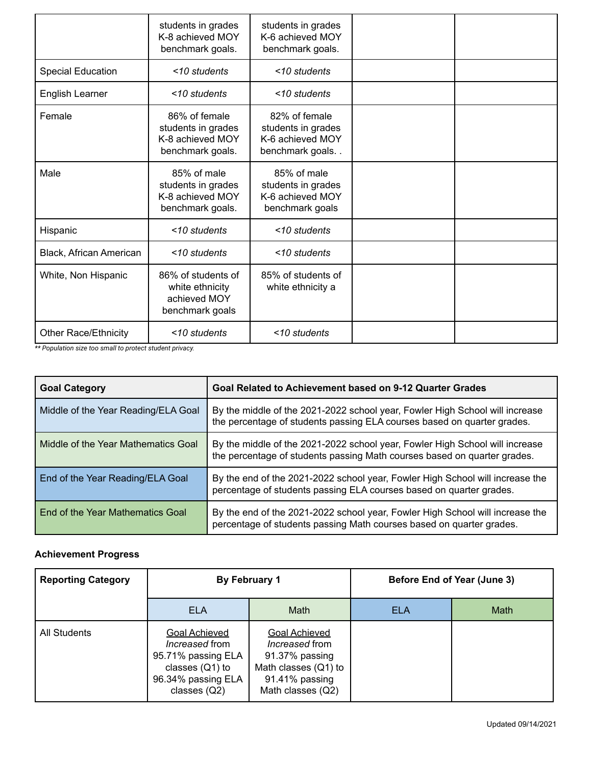|                             | students in grades<br>K-8 achieved MOY<br>benchmark goals.                  | students in grades<br>K-6 achieved MOY<br>benchmark goals.                 |  |
|-----------------------------|-----------------------------------------------------------------------------|----------------------------------------------------------------------------|--|
| <b>Special Education</b>    | <10 students                                                                | <10 students                                                               |  |
| English Learner             | <10 students                                                                | <10 students                                                               |  |
| Female                      | 86% of female<br>students in grades<br>K-8 achieved MOY<br>benchmark goals. | 82% of female<br>students in grades<br>K-6 achieved MOY<br>benchmark goals |  |
| Male                        | 85% of male<br>students in grades<br>K-8 achieved MOY<br>benchmark goals.   | 85% of male<br>students in grades<br>K-6 achieved MOY<br>benchmark goals   |  |
| Hispanic                    | <10 students                                                                | <10 students                                                               |  |
| Black, African American     | <10 students                                                                | <10 students                                                               |  |
| White, Non Hispanic         | 86% of students of<br>white ethnicity<br>achieved MOY<br>benchmark goals    | 85% of students of<br>white ethnicity a                                    |  |
| <b>Other Race/Ethnicity</b> | <10 students                                                                | <10 students                                                               |  |

*\*\* Population size too small to protect student privacy.*

| <b>Goal Category</b>                | Goal Related to Achievement based on 9-12 Quarter Grades                                                                                                 |
|-------------------------------------|----------------------------------------------------------------------------------------------------------------------------------------------------------|
| Middle of the Year Reading/ELA Goal | By the middle of the 2021-2022 school year, Fowler High School will increase<br>the percentage of students passing ELA courses based on quarter grades.  |
| Middle of the Year Mathematics Goal | By the middle of the 2021-2022 school year, Fowler High School will increase<br>the percentage of students passing Math courses based on quarter grades. |
| End of the Year Reading/ELA Goal    | By the end of the 2021-2022 school year, Fowler High School will increase the<br>percentage of students passing ELA courses based on quarter grades.     |
| End of the Year Mathematics Goal    | By the end of the 2021-2022 school year, Fowler High School will increase the<br>percentage of students passing Math courses based on quarter grades.    |

## **Achievement Progress**

| <b>Reporting Category</b> | By February 1                                                                                                                    |                                                                                                                                |     | Before End of Year (June 3) |
|---------------------------|----------------------------------------------------------------------------------------------------------------------------------|--------------------------------------------------------------------------------------------------------------------------------|-----|-----------------------------|
|                           | <b>ELA</b>                                                                                                                       | Math                                                                                                                           | ELA | <b>Math</b>                 |
| <b>All Students</b>       | <b>Goal Achieved</b><br><i>Increased</i> from<br>95.71% passing ELA<br>classes $(Q1)$ to<br>96.34% passing ELA<br>classes $(Q2)$ | <b>Goal Achieved</b><br><i>Increased</i> from<br>91.37% passing<br>Math classes (Q1) to<br>91.41% passing<br>Math classes (Q2) |     |                             |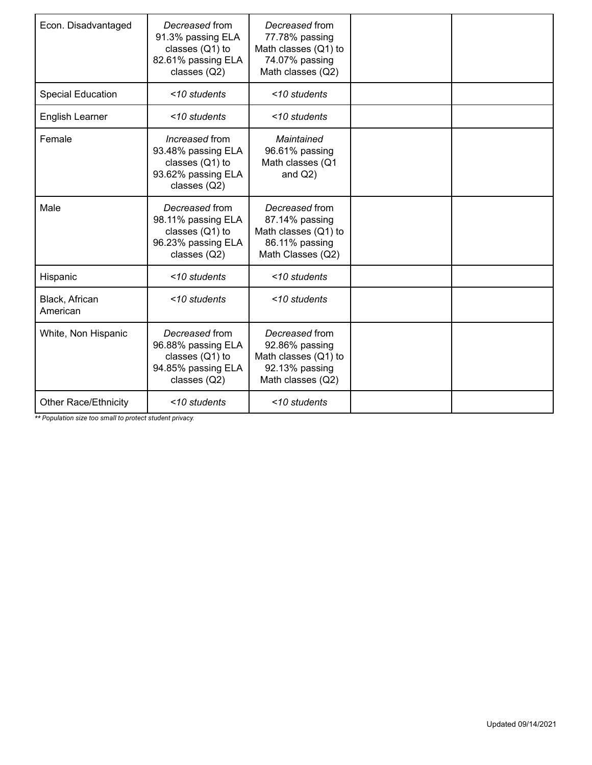| Econ. Disadvantaged         | Decreased from<br>91.3% passing ELA<br>classes $(Q1)$ to<br>82.61% passing ELA<br>classes (Q2)  | Decreased from<br>77.78% passing<br>Math classes (Q1) to<br>74.07% passing<br>Math classes (Q2) |  |
|-----------------------------|-------------------------------------------------------------------------------------------------|-------------------------------------------------------------------------------------------------|--|
| <b>Special Education</b>    | <10 students                                                                                    | <10 students                                                                                    |  |
| English Learner             | <10 students                                                                                    | <10 students                                                                                    |  |
| Female                      | Increased from<br>93.48% passing ELA<br>classes (Q1) to<br>93.62% passing ELA<br>classes (Q2)   | Maintained<br>96.61% passing<br>Math classes (Q1<br>and $Q2$ )                                  |  |
| Male                        | Decreased from<br>98.11% passing ELA<br>classes $(Q1)$ to<br>96.23% passing ELA<br>classes (Q2) | Decreased from<br>87.14% passing<br>Math classes (Q1) to<br>86.11% passing<br>Math Classes (Q2) |  |
| Hispanic                    | <10 students                                                                                    | <10 students                                                                                    |  |
| Black, African<br>American  | <10 students                                                                                    | <10 students                                                                                    |  |
| White, Non Hispanic         | Decreased from<br>96.88% passing ELA<br>classes $(Q1)$ to<br>94.85% passing ELA<br>classes (Q2) | Decreased from<br>92.86% passing<br>Math classes (Q1) to<br>92.13% passing<br>Math classes (Q2) |  |
| <b>Other Race/Ethnicity</b> | <10 students                                                                                    | <10 students                                                                                    |  |

*\*\* Population size too small to protect student privacy.*